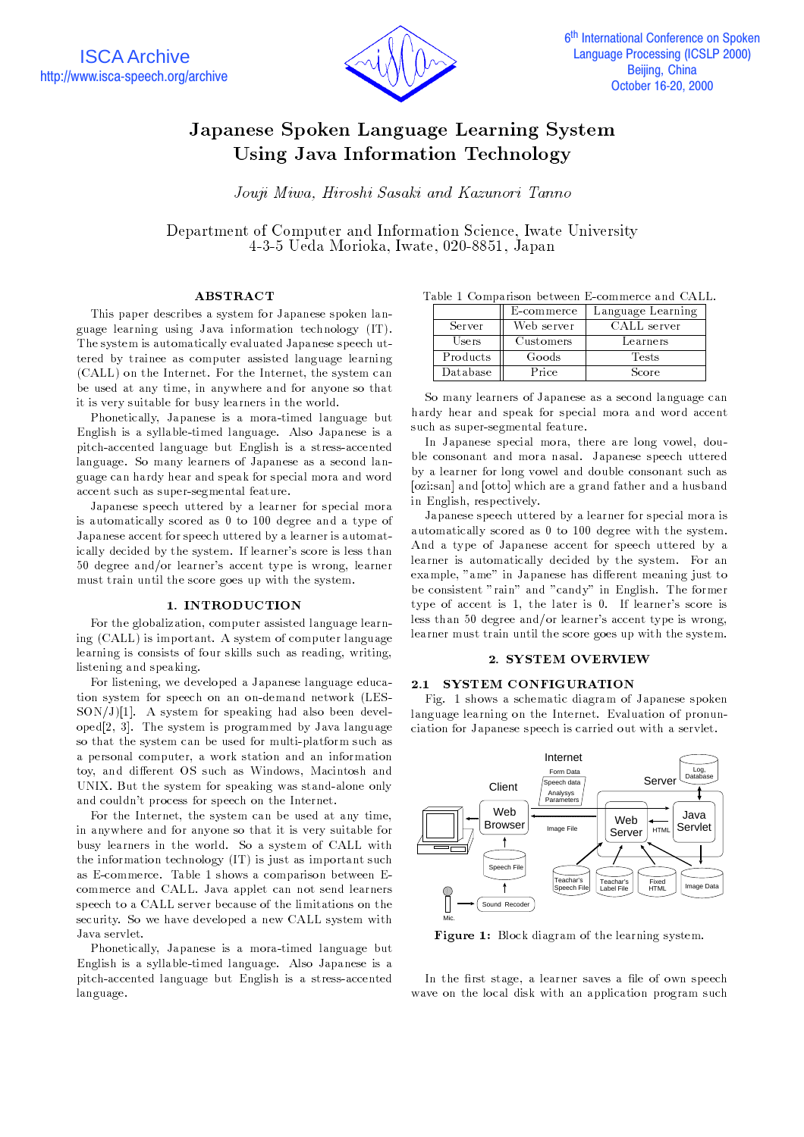

# Japanese Spoken Language Learning SystemUsing Java Information Technology

Jouji Miwa, Hiroshi Sasaki and Kazunori Tanno

Department of Computer and Information Science, Iwate University 4-3-5 Ueda Morioka, Iwate, 020-8851, Japan

## ABSTRACT

This paper describes a system for Japanese spoken language learning using Java information technology (IT). The system is automatically evaluated Japanese speech uttered by trainee as computer assisted language learning (CALL) on the Internet. For the Internet, the system can be used at any time, in anywhere and for anyone so that it is very suitable for busy learners in the world.

Phonetically, Japanese is a mora-timed language but English is a syllable-timed language. Also Japanese is a pitch-accented language but English is a stress-accented language. So many learners of Japanese as a second language can hardy hear and speak for special mora and word accent such as super-segmental feature.

Japanese speech uttered by a learner for special mora is automatically scored as 0 to 100 degree and a type of Japanese accent for speech uttered by a learner is automatically decided by the system. If learner's score is less than 50 degree and/or learner's accent type is wrong, learner must train until the score goes up with the system.

## 1. INTRODUCTION

For the globalization, computer assisted language learning (CALL) is important. A system of computer language learning is consists of four skills such as reading, writing, listening and speaking.

For listening, we developed a Japanese language education system for speech on an on-demand network (LES-SON/J)[1]. A system for speaking had also been developed[2, 3]. The system is programmed by Java language so that the system can be used for multi-platform such as a personal computer, a work station and an information toy, and different OS such as Windows, Macintosh and UNIX. But the system for speaking was stand-alone only and couldn't process for speech on the Internet.

For the Internet, the system can be used at any time, in anywhere and for anyone so that it is very suitable for busy learners in the world. So a system of CALL with the information technology (IT) is just as important such as E-commerce. Table 1 shows a comparison between Ecommerce and CALL. Java applet can not send learners speech to a CALL server because of the limitations on the security. So we have developed a new CALL system with Java servlet.

Phonetically, Japanese is a mora-timed language but English is a syllable-timed language. Also Japanese is a pitch-accented language but English is a stress-accented language.

Table 1 Comparison between E-commerce and CALL.

|          | E-commerce | Language Learning |
|----------|------------|-------------------|
| Server   | Web server | CALL server       |
| Users    | Customers  | Learners          |
| Products | Goods      | Tests             |
| Database | Price      | Score             |

So many learners of Japanese as a second language can hardy hear and speak for special mora and word accent such as super-segmental feature.

In Japanese special mora, there are long vowel, double consonant and mora nasal. Japanese speech uttered by a learner for long vowel and double consonant such as [ozi:san] and [otto] which are a grand father and a husband in English, respectively.

Japanese speech uttered by a learner for special mora is automatically scored as 0 to 100 degree with the system. And a type of Japanese accent for speech uttered by a learner is automatically decided by the system. For an example, "ame" in Japanese has different meaning just to be consistent "rain" and "candy" in English. The former type of accent is 1, the later is 0. If learner's score is less than 50 degree and/or learner's accent type is wrong, learner must train until the score goes up with the system.

### 2. SYSTEM OVERVIEW

#### SYSTEM CONFIGURATION  $2.1$

Fig. 1 shows a schematic diagram of Japanese spoken language learning on the Internet. Evaluation of pronunciation for Japanese speech is carried out with a servlet.



Figure 1: Block diagram of the learning system.

In the first stage, a learner saves a file of own speech wave on the local disk with an application program such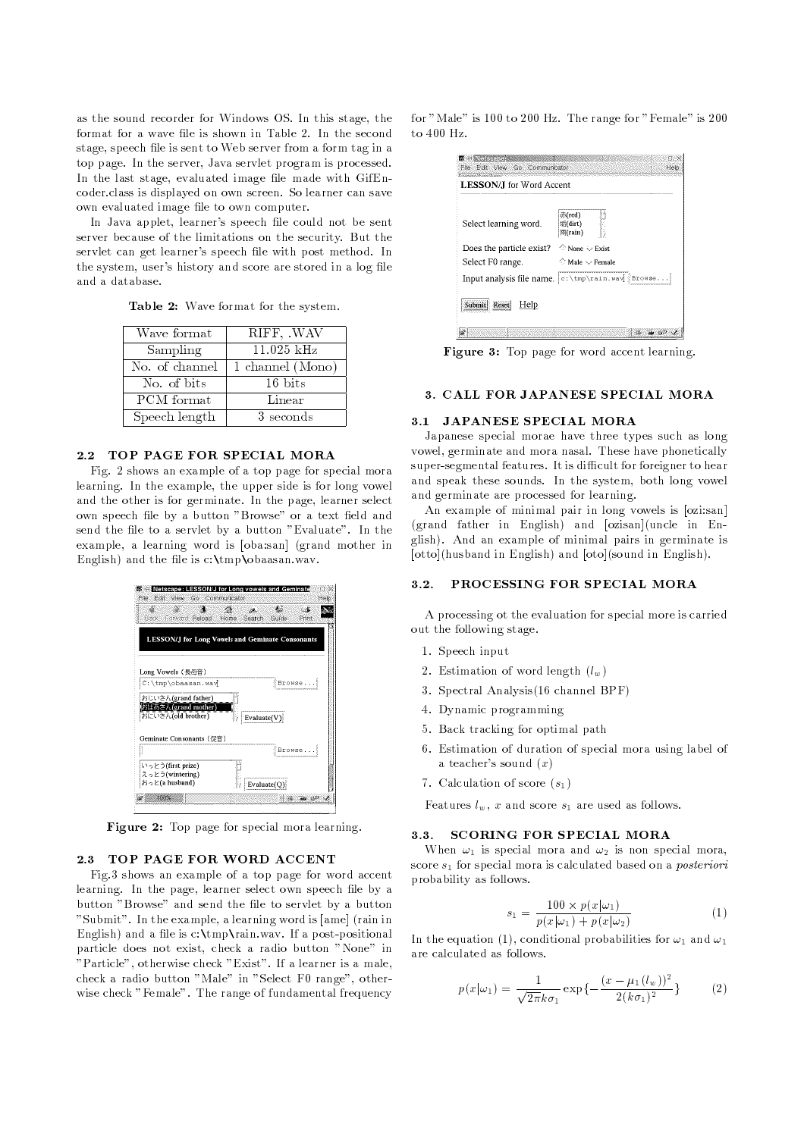as the sound recorder for Windows OS. In this stage, the format for a wave file is shown in Table 2. In the second stage, speech file is sent to Web server from a form tag in a top page. In the server, Java servlet program is processed. In the last stage, evaluated image file made with GifEncoder.class is displayed on own screen. So learner can save own evaluated image file to own computer.

In Java applet, learner's speech file could not be sent server because of the limitations on the security. But the servlet can get learner's speech file with post method. In the system, user's history and score are stored in a log file and a database.

Table 2: Wave format for the system.

| Wave format       | RIFF, WAV        |
|-------------------|------------------|
| Sampling          | $11.025$ kHz     |
| No. of channel    | 1 channel (Mono) |
| No. of bits       | 16 bits          |
| <b>PCM</b> format | Linear           |
| Speech length     | 3 seconds        |

### 2.2 TOP PAGE FOR SPECIAL MORA

Fig. 2 shows an example of a top page for special mora learning. In the example, the upper side is for long vowel and the other is for germinate. In the page, learner select own speech file by a button "Browse" or a text field and send the file to a servlet by a button "Evaluate". In the example, a learning word is [oba:san] (grand mother in English) and the file is  $c:\t{tmp\obaasan.wav.}$ 



Figure 2: Top page for special mora learning.

### 2.3 TOP PAGE FOR WORD ACCENT

Fig.3 shows an example of a top page for word accent learning. In the page, learner select own speech file by a button "Browse" and send the file to servlet by a button "Submit". In the example, a learning word is [ame] (rain in English) and a file is  $c:\t{tmp\train.wav.}$  If a post-positional particle does not exist, check a radio button "None" in "Particle", otherwise check "Exist". If a learner is a male, check a radio button "Male" in "Select F0 range", otherwise check "Female". The range of fundamental frequency

for "Male" is 100 to 200 Hz. The range for "Female" is 200 to 400 Hz.

| Select learning word.    | 赤(red)<br>垢(dirt)<br>雨(rain)                        |
|--------------------------|-----------------------------------------------------|
| Does the particle exist? | $\heartsuit$ None $\heartsuit$ Exist                |
| Select F0 range.         | $\heartsuit$ Male $\vee$ Female                     |
|                          | Input analysis file name.  c:\tmp\rain.wav[ Browse. |

Figure 3: Top page for word accent learning.

### 3.1 JAPANESE SPECIAL MORA

Japanese special morae have three types such as long vowel, germinate and mora nasal. These have phonetically super-segmental features. It is difficult for foreigner to hear and speak these sounds. In the system, both long vowel and germinate are processed for learning.

An example of minimal pair in long vowels is [ozi:san] (grand father in English) and [ozisan](uncle in English). And an example of minimal pairs in germinate is [otto](husband in English) and [oto](sound in English).

### 3.2. PROCESSING FOR SPECIAL MORA

A processing ot the evaluation for special more is carried out the following stage.

- 1. Speech input
- 2. Estimation of word length  $(l_w)$
- 3. Spectral Analysis(16 channel BPF)
- 4. Dynamic programming
- 5. Back tracking for optimal path
- 6. Estimation of duration of special mora using label of a teacher's sound  $(x)$
- 7. Calculation of score  $(s_1)$

Features  $l_w$ , x and score  $s_1$  are used as follows.

### SCORING FOR SPECIAL MORA  $3.3.$

When  $\omega_1$  is special mora and  $\omega_2$  is non special mora, score  $s_1$  for special mora is calculated based on a *posteriori* probability as follows.

$$
s_1 = \frac{100 \times p(x|\omega_1)}{p(x|\omega_1) + p(x|\omega_2)}\tag{1}
$$

In the equation (1), conditional probabilities for  $\omega_1$  and  $\omega_1$ are calculated as follows.

$$
p(x|\omega_1) = \frac{1}{\sqrt{2\pi}k\sigma_1} \exp\{-\frac{(x-\mu_1(l_w))^2}{2(k\sigma_1)^2}\}\tag{2}
$$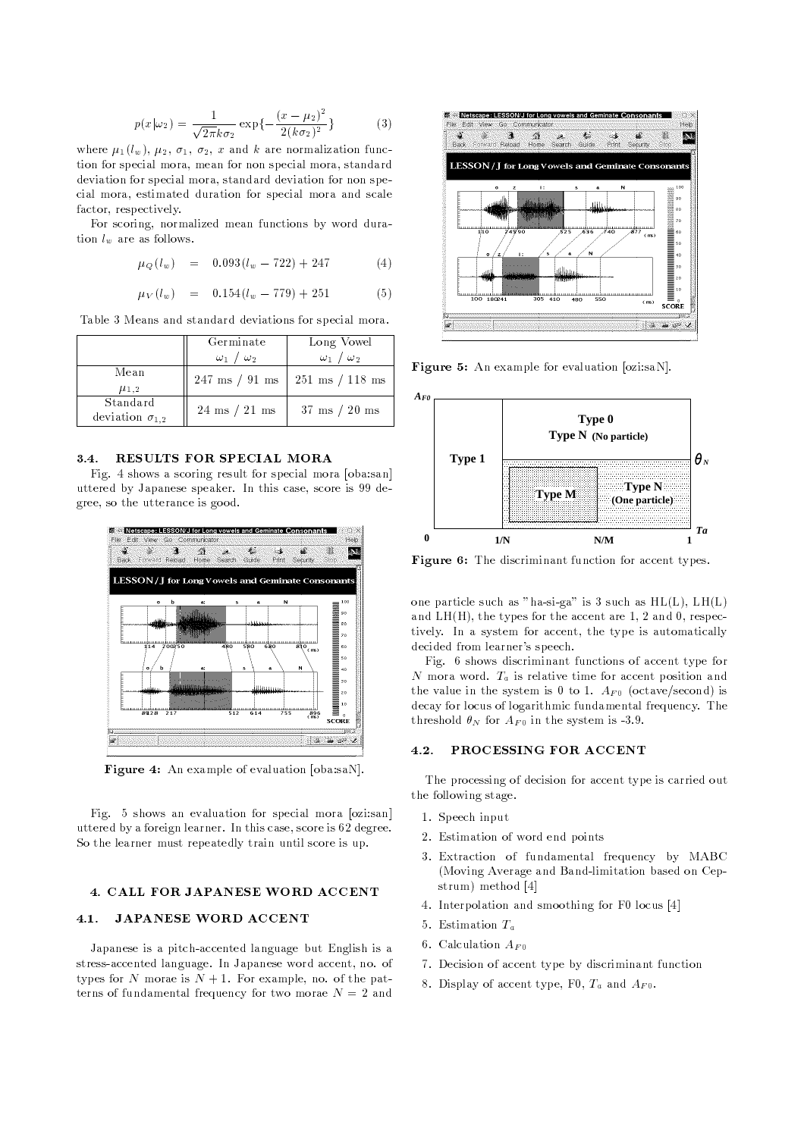$$
p(x|\omega_2) = \frac{1}{\sqrt{2\pi k \sigma_2}} \exp\left\{-\frac{(x-\mu_2)^2}{2(k\sigma_2)^2}\right\}
$$
 (3)

where  $\mu_1(l_w)$ ,  $\mu_2$ ,  $\sigma_1$ ,  $\sigma_2$ , x and k are normalization function for special mora, mean for non special mora, standard deviation for special mora, standard deviation for non special mora, estimated duration for special mora and scale factor, respectively.

For scoring, normalized mean functions by word duration  $l_w$  are as follows.

$$
\mu_Q(l_w) = 0.093(l_w - 722) + 247 \tag{4}
$$

$$
\mu_V(l_w) = 0.154(l_w - 779) + 251 \tag{5}
$$

Table 3 Means and standard deviations for special mora.

|                                      | Germinate<br>$\omega_1$         | Long Vowel<br>$\omega_1$ .<br>$\omega_2$                             |
|--------------------------------------|---------------------------------|----------------------------------------------------------------------|
| Mean<br>$\mu_{1.2}$                  |                                 | $247 \text{ ms} / 91 \text{ ms}$   $251 \text{ ms} / 118 \text{ ms}$ |
| Standard<br>deviation $\sigma_{1,2}$ | $24 \text{ ms} / 21 \text{ ms}$ | $37 \text{ ms} / 20 \text{ ms}$                                      |

#### $3.4.$ RESULTS FOR SPECIAL MORA

Fig. 4 shows a scoring result for special mora [oba:san] uttered by Japanese speaker. In this case, score is 99 degree, so the utterance is good.



Figure 4: An example of evaluation [oba:saN].

Fig. 5 shows an evaluation for special mora [ozi:san] uttered by a foreign learner. In this case, score is 62 degree. So the learner must repeatedly train until score is up.

## 4. CALL FOR JAPANESE WORD ACCENT

### $4.1.$ JAPANESE WORD ACCENT

Japanese is a pitch-accented language but English is a stress-accented language. In Japanese word accent, no. of types for N morae is  $N + 1$ . For example, no. of the patterns of fundamental frequency for two morae  $N = 2$  and



Figure 5: An example for evaluation [ozi:saN].



Figure 6: The discriminant function for accent types.

one particle such as "ha-si-ga" is 3 such as  $HL(L)$ ,  $LH(L)$ and  $LH(H)$ , the types for the accent are 1, 2 and 0, respectively. In a system for accent, the type is automatically decided from learner's speech.

Fig. 6 shows discriminant functions of accent type for  $N$  mora word.  $T_a$  is relative time for accent position and the value in the system is 0 to 1.  $A_{F0}$  (octave/second) is decay for locus of logarithmic fundamental frequency. The threshold  $\theta_N$  for  $A_{F0}$  in the system is -3.9.

#### $4.2.$ PROCESSING FOR ACCENT

The processing of decision for accent type is carried out the following stage.

- 1. Speech input
- 2. Estimation of word end points
- 3. Extraction of fundamental frequency by MABC (Moving Average and Band-limitation based on Cepstrum) method [4]
- 4. Interpolation and smoothing for F0 locus [4]
- 5. Estimation Ta
- 6. Calculation  $A_{F0}$
- 7. Decision of accent type by discriminant function
- 8. Display of accent type, F0,  $T_a$  and  $A_{F0}$ .